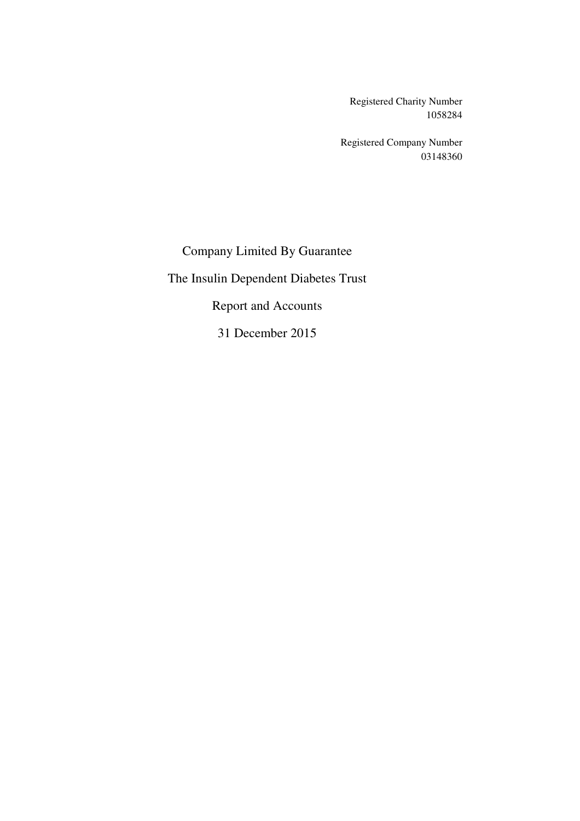Registered Charity Number 1058284

Registered Company Number 03148360

Company Limited By Guarantee

The Insulin Dependent Diabetes Trust

Report and Accounts

31 December 2015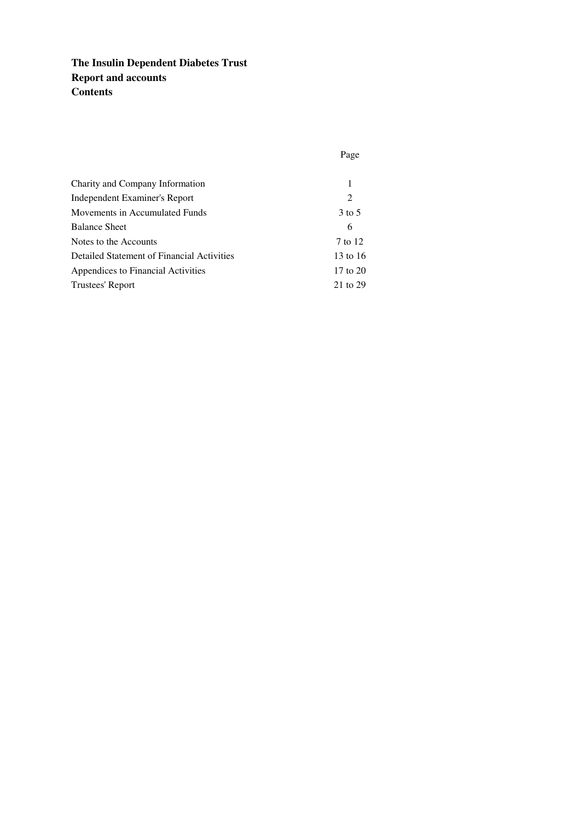# **The Insulin Dependent Diabetes Trust Report and accounts Contents**

| Charity and Company Information            | 1            |
|--------------------------------------------|--------------|
| Independent Examiner's Report              | 2            |
| Movements in Accumulated Funds             | $3$ to $5$   |
| <b>Balance Sheet</b>                       | 6            |
| Notes to the Accounts                      | 7 to 12      |
| Detailed Statement of Financial Activities | 13 to 16     |
| Appendices to Financial Activities         | $17$ to $20$ |
| Trustees' Report                           | 21 to 29     |

Page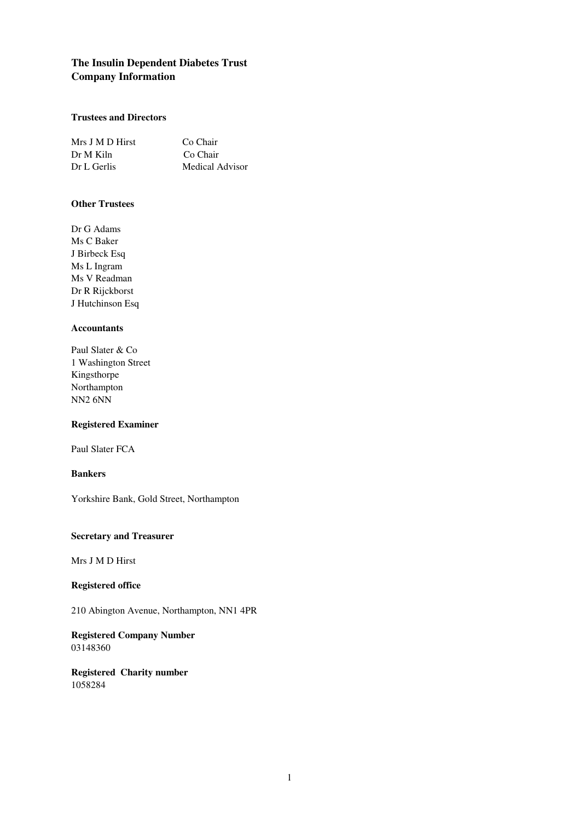# **The Insulin Dependent Diabetes Trust Company Information**

## **Trustees and Directors**

| Mrs J M D Hirst | Co Chair        |
|-----------------|-----------------|
| Dr M Kiln       | Co Chair        |
| Dr L Gerlis     | Medical Advisor |

## **Other Trustees**

Dr G Adams Ms C Baker J Birbeck Esq Ms L Ingram Ms V Readman Dr R Rijckborst J Hutchinson Esq

## **Accountants**

| Paul Slater & Co    |
|---------------------|
| 1 Washington Street |
| Kingsthorpe         |
| Northampton         |
| <b>NN2 6NN</b>      |

### **Registered Examiner**

Paul Slater FCA

## **Bankers**

Yorkshire Bank, Gold Street, Northampton

### **Secretary and Treasurer**

Mrs J M D Hirst

## **Registered office**

210 Abington Avenue, Northampton, NN1 4PR

**Registered Company Number** 03148360

**Registered Charity number** 1058284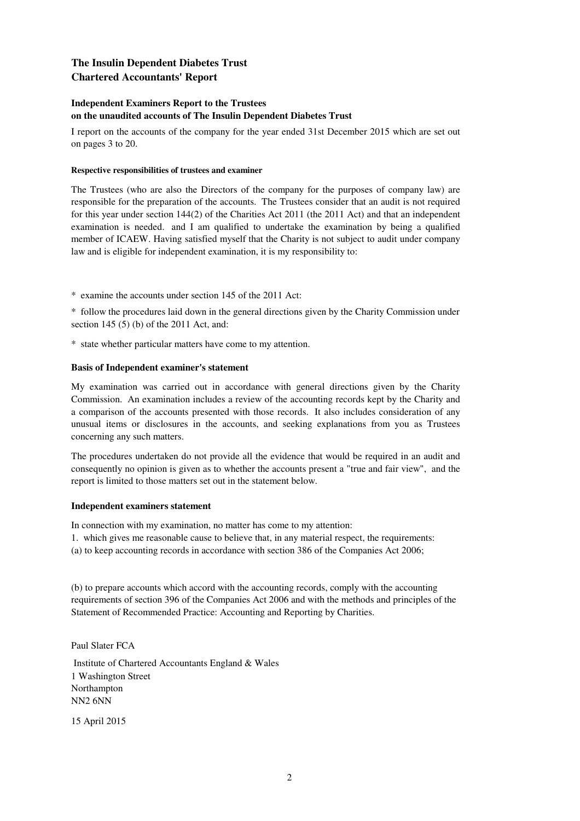# **The Insulin Dependent Diabetes Trust Chartered Accountants' Report**

### **Independent Examiners Report to the Trustees on the unaudited accounts of The Insulin Dependent Diabetes Trust**

I report on the accounts of the company for the year ended 31st December 2015 which are set out on pages 3 to 20.

### **Respective responsibilities of trustees and examiner**

The Trustees (who are also the Directors of the company for the purposes of company law) are responsible for the preparation of the accounts. The Trustees consider that an audit is not required for this year under section 144(2) of the Charities Act 2011 (the 2011 Act) and that an independent examination is needed. and I am qualified to undertake the examination by being a qualified member of ICAEW. Having satisfied myself that the Charity is not subject to audit under company law and is eligible for independent examination, it is my responsibility to:

\* examine the accounts under section 145 of the 2011 Act:

\* follow the procedures laid down in the general directions given by the Charity Commission under section 145 (5) (b) of the 2011 Act, and:

\* state whether particular matters have come to my attention.

### **Basis of Independent examiner's statement**

My examination was carried out in accordance with general directions given by the Charity Commission. An examination includes a review of the accounting records kept by the Charity and a comparison of the accounts presented with those records. It also includes consideration of any unusual items or disclosures in the accounts, and seeking explanations from you as Trustees concerning any such matters.

The procedures undertaken do not provide all the evidence that would be required in an audit and consequently no opinion is given as to whether the accounts present a "true and fair view", and the report is limited to those matters set out in the statement below.

### **Independent examiners statement**

In connection with my examination, no matter has come to my attention:

1. which gives me reasonable cause to believe that, in any material respect, the requirements:

(a) to keep accounting records in accordance with section 386 of the Companies Act 2006;

(b) to prepare accounts which accord with the accounting records, comply with the accounting requirements of section 396 of the Companies Act 2006 and with the methods and principles of the Statement of Recommended Practice: Accounting and Reporting by Charities.

Paul Slater FCA

 Institute of Chartered Accountants England & Wales 1 Washington Street Northampton NN2 6NN

15 April 2015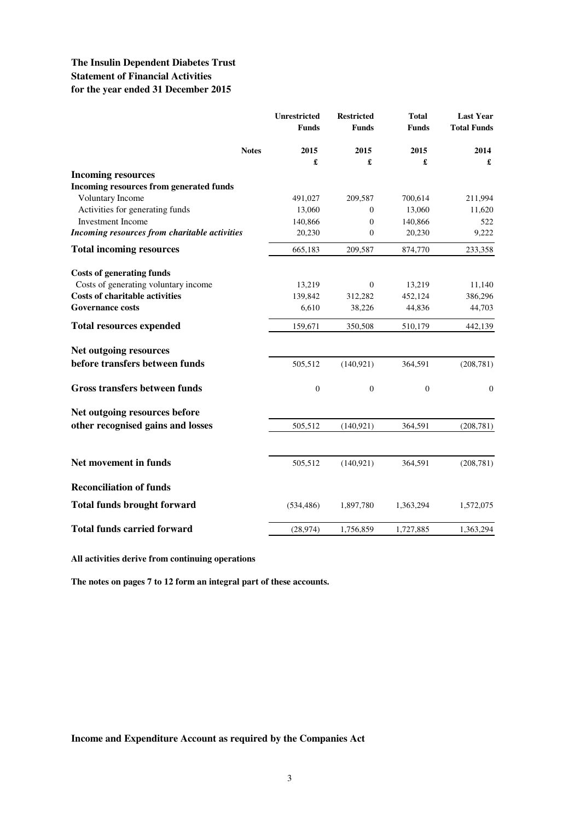|                                                                      | Unrestricted<br><b>Funds</b> | <b>Restricted</b><br><b>Funds</b> | <b>Total</b><br><b>Funds</b> | <b>Last Year</b><br><b>Total Funds</b> |
|----------------------------------------------------------------------|------------------------------|-----------------------------------|------------------------------|----------------------------------------|
| <b>Notes</b>                                                         | 2015                         | 2015                              | 2015                         | 2014                                   |
|                                                                      | £                            | £                                 | £                            | £                                      |
| <b>Incoming resources</b><br>Incoming resources from generated funds |                              |                                   |                              |                                        |
| Voluntary Income                                                     | 491,027                      | 209,587                           | 700,614                      | 211,994                                |
| Activities for generating funds                                      | 13,060                       | 0                                 | 13,060                       | 11,620                                 |
| <b>Investment Income</b>                                             | 140,866                      | $\mathbf{0}$                      | 140,866                      | 522                                    |
| Incoming resources from charitable activities                        | 20,230                       | $\mathbf{0}$                      | 20,230                       | 9,222                                  |
| <b>Total incoming resources</b>                                      | 665,183                      | 209,587                           | 874,770                      | 233,358                                |
| <b>Costs of generating funds</b>                                     |                              |                                   |                              |                                        |
| Costs of generating voluntary income                                 | 13,219                       | $\boldsymbol{0}$                  | 13,219                       | 11,140                                 |
| <b>Costs of charitable activities</b>                                | 139,842                      | 312,282                           | 452,124                      | 386,296                                |
| <b>Governance costs</b>                                              | 6,610                        | 38,226                            | 44,836                       | 44,703                                 |
| <b>Total resources expended</b>                                      | 159,671                      | 350,508                           | 510,179                      | 442,139                                |
| Net outgoing resources                                               |                              |                                   |                              |                                        |
| before transfers between funds                                       | 505,512                      | (140, 921)                        | 364,591                      | (208, 781)                             |
| Gross transfers between funds                                        | $\boldsymbol{0}$             | $\boldsymbol{0}$                  | $\boldsymbol{0}$             | $\mathbf{0}$                           |
| Net outgoing resources before                                        |                              |                                   |                              |                                        |
| other recognised gains and losses                                    | 505,512                      | (140, 921)                        | 364,591                      | (208, 781)                             |
| Net movement in funds                                                |                              |                                   |                              |                                        |
|                                                                      | 505,512                      | (140, 921)                        | 364,591                      | (208, 781)                             |
| <b>Reconciliation of funds</b>                                       |                              |                                   |                              |                                        |
| <b>Total funds brought forward</b>                                   | (534, 486)                   | 1,897,780                         | 1,363,294                    | 1,572,075                              |
| <b>Total funds carried forward</b>                                   | (28, 974)                    | 1,756,859                         | 1,727,885                    | 1,363,294                              |

**All activities derive from continuing operations**

**The notes on pages 7 to 12 form an integral part of these accounts.**

**Income and Expenditure Account as required by the Companies Act**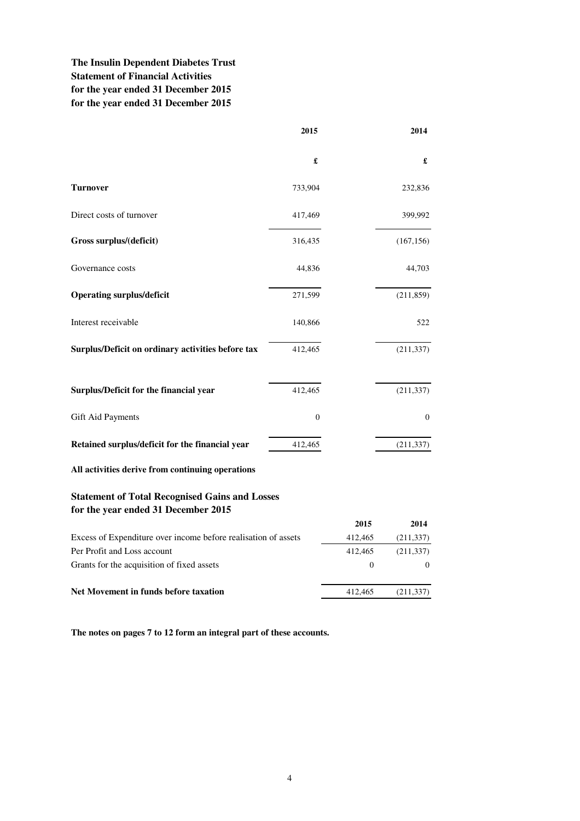# **The Insulin Dependent Diabetes Trust Statement of Financial Activities for the year ended 31 December 2015 for the year ended 31 December 2015**

|                                                   | 2015                 | 2014             |
|---------------------------------------------------|----------------------|------------------|
|                                                   | $\pmb{\mathfrak{L}}$ | £                |
| <b>Turnover</b>                                   | 733,904              | 232,836          |
| Direct costs of turnover                          | 417,469              | 399,992          |
| Gross surplus/(deficit)                           | 316,435              | (167, 156)       |
| Governance costs                                  | 44,836               | 44,703           |
| <b>Operating surplus/deficit</b>                  | 271,599              | (211, 859)       |
| Interest receivable                               | 140,866              | 522              |
| Surplus/Deficit on ordinary activities before tax | 412,465              | (211, 337)       |
| Surplus/Deficit for the financial year            | 412,465              | (211, 337)       |
| Gift Aid Payments                                 | $\boldsymbol{0}$     | $\boldsymbol{0}$ |
| Retained surplus/deficit for the financial year   | 412,465              | (211, 337)       |

**All activities derive from continuing operations**

# **Statement of Total Recognised Gains and Losses for the year ended 31 December 2015**

|                                                                | 2015     | 2014       |
|----------------------------------------------------------------|----------|------------|
| Excess of Expenditure over income before realisation of assets | 412,465  | (211, 337) |
| Per Profit and Loss account                                    | 412,465  | (211, 337) |
| Grants for the acquisition of fixed assets                     | $\theta$ |            |
|                                                                |          |            |
| Net Movement in funds before taxation                          | 412.465  | (211, 337) |

**The notes on pages 7 to 12 form an integral part of these accounts.**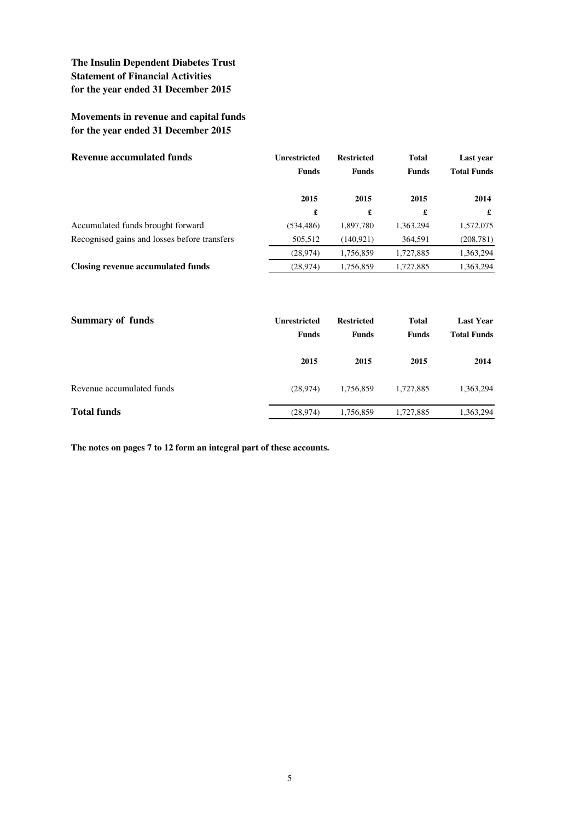# **Movements in revenue and capital funds for the year ended 31 December 2015**

| <b>Revenue accumulated funds</b>             | Unrestricted<br><b>Funds</b> | <b>Restricted</b><br><b>Funds</b> | <b>Total</b><br><b>Funds</b> | Last year<br><b>Total Funds</b> |
|----------------------------------------------|------------------------------|-----------------------------------|------------------------------|---------------------------------|
|                                              | 2015                         | 2015                              | 2015                         | 2014                            |
|                                              | £                            | £                                 | £                            | £                               |
| Accumulated funds brought forward            | (534, 486)                   | 1,897,780                         | 1,363,294                    | 1,572,075                       |
| Recognised gains and losses before transfers | 505,512                      | (140.921)                         | 364,591                      | (208, 781)                      |
|                                              | (28, 974)                    | 1,756,859                         | 1,727,885                    | 1,363,294                       |
| Closing revenue accumulated funds            | (28, 974)                    | 1,756,859                         | 1,727,885                    | 1,363,294                       |

| Summary of funds          | <b>Unrestricted</b><br><b>Funds</b> | <b>Restricted</b><br><b>Funds</b> | <b>Total</b><br><b>Funds</b> | <b>Last Year</b><br><b>Total Funds</b> |
|---------------------------|-------------------------------------|-----------------------------------|------------------------------|----------------------------------------|
|                           | 2015                                | 2015                              | 2015                         | 2014                                   |
| Revenue accumulated funds | (28, 974)                           | 1,756,859                         | 1,727,885                    | 1,363,294                              |
| <b>Total funds</b>        | (28, 974)                           | 1,756,859                         | 1,727,885                    | 1,363,294                              |

**The notes on pages 7 to 12 form an integral part of these accounts.**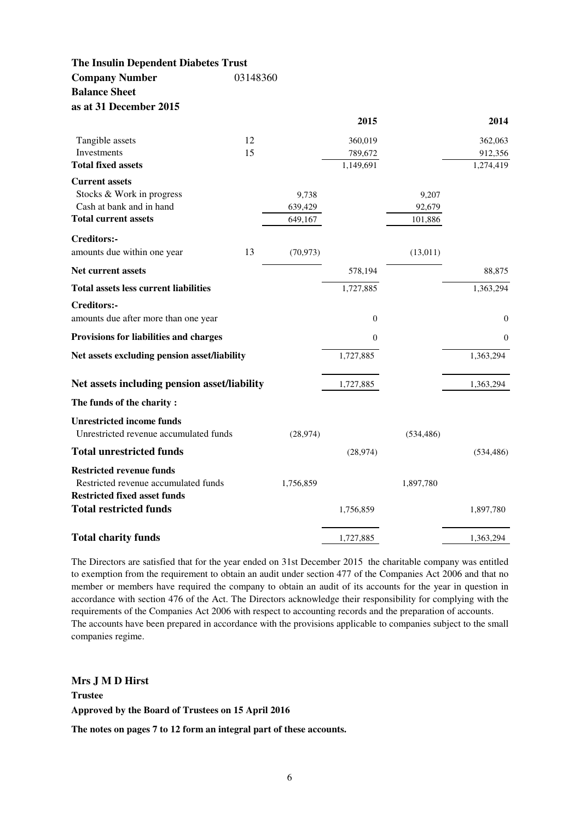**The Insulin Dependent Diabetes Trust Company Number** 03148360 **Balance Sheet as at 31 December 2015**

|                                              |    |           | 2015         |            | 2014           |
|----------------------------------------------|----|-----------|--------------|------------|----------------|
| Tangible assets                              | 12 |           | 360,019      |            | 362,063        |
| Investments                                  | 15 |           | 789,672      |            | 912,356        |
| <b>Total fixed assets</b>                    |    |           | 1,149,691    |            | 1,274,419      |
| <b>Current assets</b>                        |    |           |              |            |                |
| Stocks & Work in progress                    |    | 9,738     |              | 9,207      |                |
| Cash at bank and in hand                     |    | 639,429   |              | 92,679     |                |
| <b>Total current assets</b>                  |    | 649,167   |              | 101,886    |                |
| <b>Creditors:-</b>                           |    |           |              |            |                |
| amounts due within one year                  | 13 | (70, 973) |              | (13, 011)  |                |
| Net current assets                           |    |           | 578,194      |            | 88,875         |
| <b>Total assets less current liabilities</b> |    |           | 1,727,885    |            | 1,363,294      |
| <b>Creditors:-</b>                           |    |           |              |            |                |
| amounts due after more than one year         |    |           | $\mathbf{0}$ |            | $\overline{0}$ |
| Provisions for liabilities and charges       |    |           | $\theta$     |            | $\theta$       |
| Net assets excluding pension asset/liability |    |           | 1,727,885    |            | 1,363,294      |
| Net assets including pension asset/liability |    |           | 1,727,885    |            | 1,363,294      |
| The funds of the charity:                    |    |           |              |            |                |
| <b>Unrestricted income funds</b>             |    |           |              |            |                |
| Unrestricted revenue accumulated funds       |    | (28, 974) |              | (534, 486) |                |
| <b>Total unrestricted funds</b>              |    |           | (28, 974)    |            | (534, 486)     |
| <b>Restricted revenue funds</b>              |    |           |              |            |                |
| Restricted revenue accumulated funds         |    | 1,756,859 |              | 1,897,780  |                |
| <b>Restricted fixed asset funds</b>          |    |           |              |            |                |
| <b>Total restricted funds</b>                |    |           | 1,756,859    |            | 1,897,780      |
|                                              |    |           |              |            | 1,363,294      |
| <b>Total charity funds</b>                   |    |           | 1,727,885    |            |                |

The Directors are satisfied that for the year ended on 31st December 2015 the charitable company was entitled to exemption from the requirement to obtain an audit under section 477 of the Companies Act 2006 and that no member or members have required the company to obtain an audit of its accounts for the year in question in accordance with section 476 of the Act. The Directors acknowledge their responsibility for complying with the requirements of the Companies Act 2006 with respect to accounting records and the preparation of accounts. The accounts have been prepared in accordance with the provisions applicable to companies subject to the small companies regime.

**Mrs J M D Hirst Trustee Approved by the Board of Trustees on 15 April 2016**

**The notes on pages 7 to 12 form an integral part of these accounts.**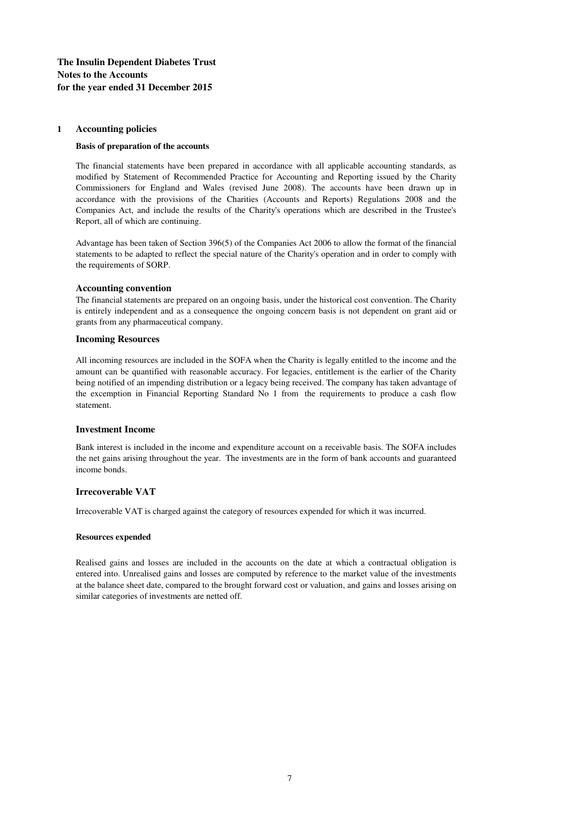#### **1 Accounting policies**

#### **Basis of preparation of the accounts**

The financial statements have been prepared in accordance with all applicable accounting standards, as modified by Statement of Recommended Practice for Accounting and Reporting issued by the Charity Commissioners for England and Wales (revised June 2008). The accounts have been drawn up in accordance with the provisions of the Charities (Accounts and Reports) Regulations 2008 and the Companies Act, and include the results of the Charity's operations which are described in the Trustee's Report, all of which are continuing.

Advantage has been taken of Section 396(5) of the Companies Act 2006 to allow the format of the financial statements to be adapted to reflect the special nature of the Charity's operation and in order to comply with the requirements of SORP.

#### **Accounting convention**

The financial statements are prepared on an ongoing basis, under the historical cost convention. The Charity is entirely independent and as a consequence the ongoing concern basis is not dependent on grant aid or grants from any pharmaceutical company.

#### **Incoming Resources**

All incoming resources are included in the SOFA when the Charity is legally entitled to the income and the amount can be quantified with reasonable accuracy. For legacies, entitlement is the earlier of the Charity being notified of an impending distribution or a legacy being received. The company has taken advantage of the excemption in Financial Reporting Standard No 1 from the requirements to produce a cash flow statement.

#### **Investment Income**

Bank interest is included in the income and expenditure account on a receivable basis. The SOFA includes the net gains arising throughout the year. The investments are in the form of bank accounts and guaranteed income bonds.

### **Irrecoverable VAT**

Irrecoverable VAT is charged against the category of resources expended for which it was incurred.

#### **Resources expended**

Realised gains and losses are included in the accounts on the date at which a contractual obligation is entered into. Unrealised gains and losses are computed by reference to the market value of the investments at the balance sheet date, compared to the brought forward cost or valuation, and gains and losses arising on similar categories of investments are netted off.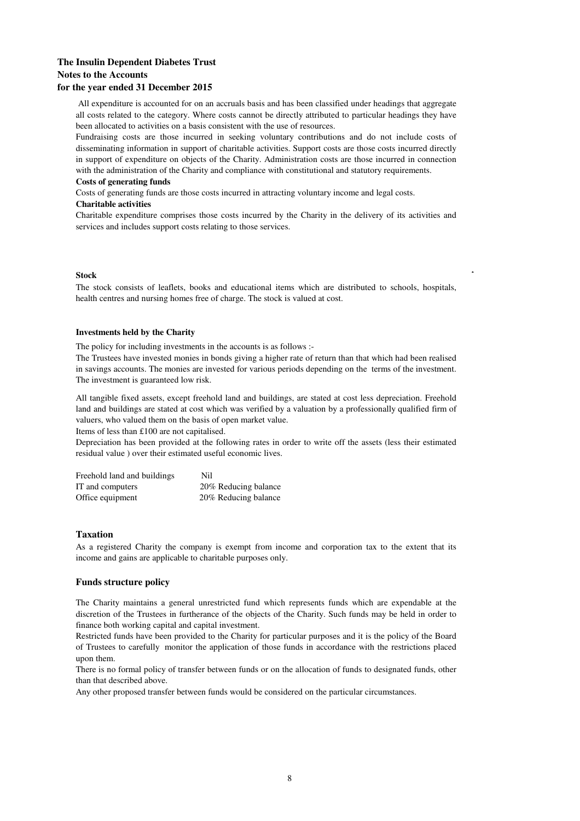All expenditure is accounted for on an accruals basis and has been classified under headings that aggregate all costs related to the category. Where costs cannot be directly attributed to particular headings they have been allocated to activities on a basis consistent with the use of resources.

Fundraising costs are those incurred in seeking voluntary contributions and do not include costs of disseminating information in support of charitable activities. Support costs are those costs incurred directly in support of expenditure on objects of the Charity. Administration costs are those incurred in connection with the administration of the Charity and compliance with constitutional and statutory requirements.

#### **Costs of generating funds**

Costs of generating funds are those costs incurred in attracting voluntary income and legal costs.

#### **Charitable activities**

Charitable expenditure comprises those costs incurred by the Charity in the delivery of its activities and services and includes support costs relating to those services.

#### **Stock**

The stock consists of leaflets, books and educational items which are distributed to schools, hospitals, health centres and nursing homes free of charge. The stock is valued at cost.

A

#### **Investments held by the Charity**

The policy for including investments in the accounts is as follows :-

The Trustees have invested monies in bonds giving a higher rate of return than that which had been realised in savings accounts. The monies are invested for various periods depending on the terms of the investment. The investment is guaranteed low risk.

All tangible fixed assets, except freehold land and buildings, are stated at cost less depreciation. Freehold land and buildings are stated at cost which was verified by a valuation by a professionally qualified firm of valuers, who valued them on the basis of open market value.

Items of less than £100 are not capitalised.

Depreciation has been provided at the following rates in order to write off the assets (less their estimated residual value ) over their estimated useful economic lives.

| Freehold land and buildings | Nil                  |
|-----------------------------|----------------------|
| IT and computers            | 20% Reducing balance |
| Office equipment            | 20% Reducing balance |

### **Taxation**

As a registered Charity the company is exempt from income and corporation tax to the extent that its income and gains are applicable to charitable purposes only.

#### **Funds structure policy**

The Charity maintains a general unrestricted fund which represents funds which are expendable at the discretion of the Trustees in furtherance of the objects of the Charity. Such funds may be held in order to finance both working capital and capital investment.

Restricted funds have been provided to the Charity for particular purposes and it is the policy of the Board of Trustees to carefully monitor the application of those funds in accordance with the restrictions placed upon them.

There is no formal policy of transfer between funds or on the allocation of funds to designated funds, other than that described above.

Any other proposed transfer between funds would be considered on the particular circumstances.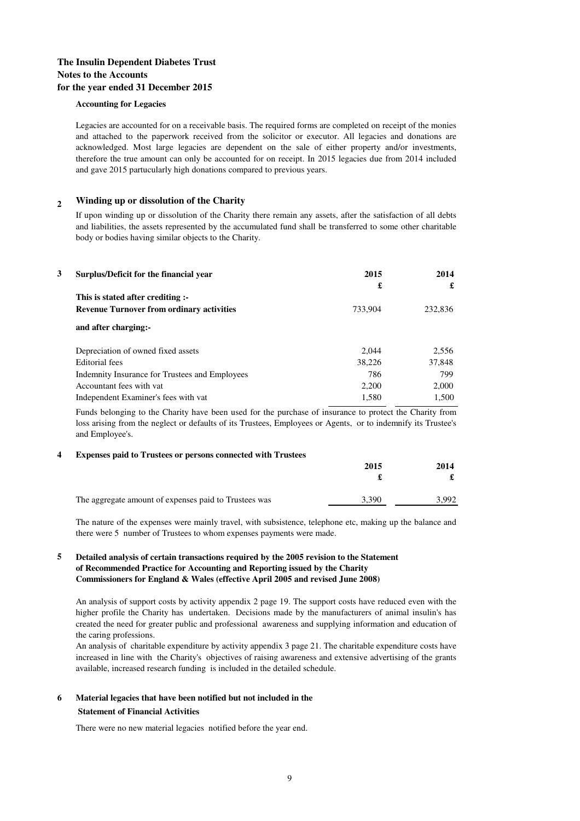#### **Accounting for Legacies**

Legacies are accounted for on a receivable basis. The required forms are completed on receipt of the monies and attached to the paperwork received from the solicitor or executor. All legacies and donations are acknowledged. Most large legacies are dependent on the sale of either property and/or investments, therefore the true amount can only be accounted for on receipt. In 2015 legacies due from 2014 included and gave 2015 partucularly high donations compared to previous years.

#### **<sup>2</sup> Winding up or dissolution of the Charity**

If upon winding up or dissolution of the Charity there remain any assets, after the satisfaction of all debts and liabilities, the assets represented by the accumulated fund shall be transferred to some other charitable body or bodies having similar objects to the Charity.

| 3 | Surplus/Deficit for the financial year           | 2015    | 2014    |
|---|--------------------------------------------------|---------|---------|
|   |                                                  | £       | £       |
|   | This is stated after crediting :-                |         |         |
|   | <b>Revenue Turnover from ordinary activities</b> | 733.904 | 232,836 |
|   | and after charging:-                             |         |         |
|   | Depreciation of owned fixed assets               | 2.044   | 2,556   |
|   | <b>Editorial</b> fees                            | 38,226  | 37,848  |
|   | Indemnity Insurance for Trustees and Employees   | 786     | 799     |
|   | Accountant fees with vat                         | 2,200   | 2,000   |
|   | Independent Examiner's fees with vat             | 1,580   | 1,500   |

Funds belonging to the Charity have been used for the purchase of insurance to protect the Charity from loss arising from the neglect or defaults of its Trustees, Employees or Agents, or to indemnify its Trustee's and Employee's.

#### **4 Expenses paid to Trustees or persons connected with Trustees**

| 2015  | 2014 |  |
|-------|------|--|
|       | £    |  |
| 3.390 | .992 |  |
|       |      |  |

The nature of the expenses were mainly travel, with subsistence, telephone etc, making up the balance and there were 5 number of Trustees to whom expenses payments were made.

### **5 Detailed analysis of certain transactions required by the 2005 revision to the Statement of Recommended Practice for Accounting and Reporting issued by the Charity Commissioners for England & Wales (effective April 2005 and revised June 2008)**

An analysis of support costs by activity appendix 2 page 19. The support costs have reduced even with the higher profile the Charity has undertaken. Decisions made by the manufacturers of animal insulin's has created the need for greater public and professional awareness and supplying information and education of the caring professions.

An analysis of charitable expenditure by activity appendix 3 page 21. The charitable expenditure costs have increased in line with the Charity's objectives of raising awareness and extensive advertising of the grants available, increased research funding is included in the detailed schedule.

### **6 Material legacies that have been notified but not included in the Statement of Financial Activities**

There were no new material legacies notified before the year end.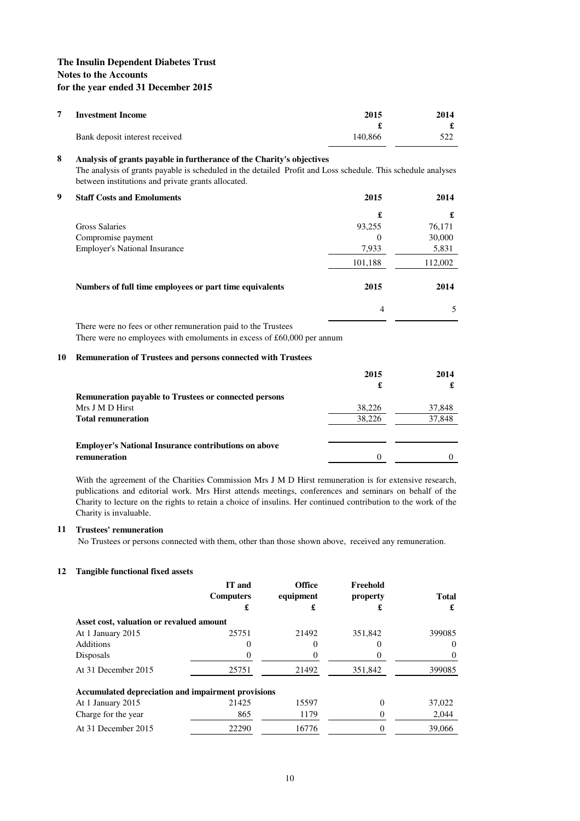| <b>Investment Income</b> |                                | 2015    | 2014 |
|--------------------------|--------------------------------|---------|------|
|                          |                                |         |      |
|                          | Bank deposit interest received | 140,866 | 522  |

### **8 Analysis of grants payable in furtherance of the Charity's objectives**

The analysis of grants payable is scheduled in the detailed Profit and Loss schedule. This schedule analyses between institutions and private grants allocated.

**9 Staff Costs and Emoluments 2015 2014 £ £**  Gross Salaries 93,255 76,171 Compromise payment 0 30,000 Employer's National Insurance  $7,933$  5,831 101,188 112,002 **Numbers of full time employees or part time equivalents 2015 2014**  4 5

There were no fees or other remuneration paid to the Trustees There were no employees with emoluments in excess of £60,000 per annum

#### **10 Remuneration of Trustees and persons connected with Trustees**

|                                                              | 2015   | 2014   |
|--------------------------------------------------------------|--------|--------|
|                                                              | £      |        |
| <b>Remuneration payable to Trustees or connected persons</b> |        |        |
| Mrs J M D Hirst                                              | 38,226 | 37,848 |
| <b>Total remuneration</b>                                    | 38.226 | 37,848 |
|                                                              |        |        |
| <b>Employer's National Insurance contributions on above</b>  |        |        |
| remuneration                                                 | 0      |        |

With the agreement of the Charities Commission Mrs J M D Hirst remuneration is for extensive research, publications and editorial work. Mrs Hirst attends meetings, conferences and seminars on behalf of the Charity to lecture on the rights to retain a choice of insulins. Her continued contribution to the work of the Charity is invaluable.

### **11 Trustees' remuneration**

No Trustees or persons connected with them, other than those shown above, received any remuneration.

#### **12 Tangible functional fixed assets**

|                                                    | IT and<br><b>Computers</b><br>£ | <b>Office</b><br>equipment<br>£ | Freehold<br>property<br>£ | <b>Total</b><br>£ |
|----------------------------------------------------|---------------------------------|---------------------------------|---------------------------|-------------------|
| Asset cost, valuation or revalued amount           |                                 |                                 |                           |                   |
| At 1 January 2015                                  | 25751                           | 21492                           | 351,842                   | 399085            |
| <b>Additions</b>                                   | O                               |                                 |                           | $\theta$          |
| Disposals                                          |                                 |                                 |                           | $\theta$          |
| At 31 December 2015                                | 25751                           | 21492                           | 351,842                   | 399085            |
| Accumulated depreciation and impairment provisions |                                 |                                 |                           |                   |
| At 1 January 2015                                  | 21425                           | 15597                           | $_{0}$                    | 37,022            |
| Charge for the year                                | 865                             | 1179                            |                           | 2.044             |
| At 31 December 2015                                | 22290                           | 16776                           |                           | 39,066            |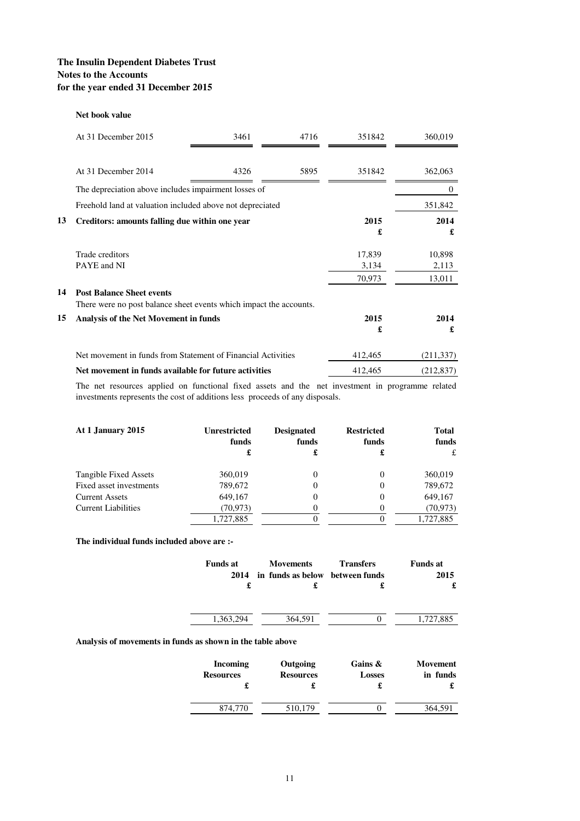#### **Net book value**

|    | At 31 December 2015                                                                                    | 3461 | 4716 | 351842          | 360,019         |
|----|--------------------------------------------------------------------------------------------------------|------|------|-----------------|-----------------|
|    |                                                                                                        |      |      |                 |                 |
|    | At 31 December 2014                                                                                    | 4326 | 5895 | 351842          | 362,063         |
|    | The depreciation above includes impairment losses of                                                   |      |      |                 | $\theta$        |
|    | Freehold land at valuation included above not depreciated                                              |      |      |                 | 351,842         |
| 13 | Creditors: amounts falling due within one year                                                         |      |      | 2015<br>£       | 2014<br>£       |
|    | Trade creditors                                                                                        |      |      | 17,839          | 10,898          |
|    | PAYE and NI                                                                                            |      |      | 3,134<br>70,973 | 2,113<br>13,011 |
| 14 | <b>Post Balance Sheet events</b><br>There were no post balance sheet events which impact the accounts. |      |      |                 |                 |
| 15 | Analysis of the Net Movement in funds                                                                  |      |      | 2015<br>£       | 2014<br>£       |
|    | Net movement in funds from Statement of Financial Activities                                           |      |      | 412,465         | (211, 337)      |
|    | Net movement in funds available for future activities                                                  |      |      | 412,465         | (212, 837)      |

The net resources applied on functional fixed assets and the net investment in programme related investments represents the cost of additions less proceeds of any disposals.

| At 1 January 2015          | <b>Unrestricted</b><br>funds<br>£ | <b>Designated</b><br>funds<br>£ | <b>Restricted</b><br>funds<br>£ | Total<br>funds<br>£ |
|----------------------------|-----------------------------------|---------------------------------|---------------------------------|---------------------|
| Tangible Fixed Assets      | 360,019                           |                                 |                                 | 360,019             |
| Fixed asset investments    | 789,672                           |                                 | 0                               | 789,672             |
| <b>Current Assets</b>      | 649,167                           |                                 | $\theta$                        | 649,167             |
| <b>Current Liabilities</b> | (70, 973)                         |                                 |                                 | (70, 973)           |
|                            | 1,727,885                         |                                 |                                 | 1,727,885           |

**The individual funds included above are :-**

| <b>Funds at</b><br>2014 | <b>Movements</b><br>in funds as below between funds | <b>Transfers</b> | <b>Funds at</b><br>2015 |
|-------------------------|-----------------------------------------------------|------------------|-------------------------|
| £                       |                                                     |                  |                         |
| 1,363,294               | 364,591                                             |                  | 1,727,885               |

### **Analysis of movements in funds as shown in the table above**

| <b>Incoming</b>  | Outgoing         | Gains $\&$    | <b>Movement</b> |
|------------------|------------------|---------------|-----------------|
| <b>Resources</b> | <b>Resources</b> | <b>Losses</b> | in funds        |
| 874.770          | 510,179          |               | 364.591         |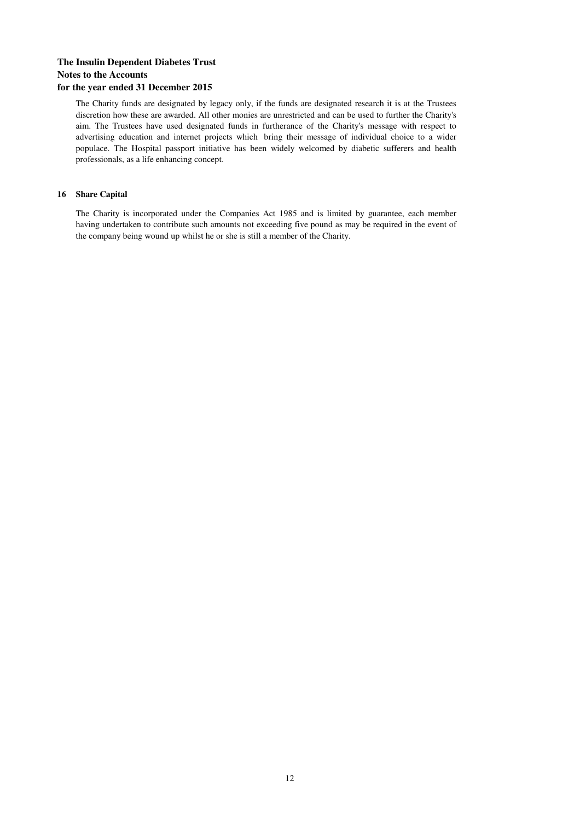The Charity funds are designated by legacy only, if the funds are designated research it is at the Trustees discretion how these are awarded. All other monies are unrestricted and can be used to further the Charity's aim. The Trustees have used designated funds in furtherance of the Charity's message with respect to advertising education and internet projects which bring their message of individual choice to a wider populace. The Hospital passport initiative has been widely welcomed by diabetic sufferers and health professionals, as a life enhancing concept.

### **16 Share Capital**

The Charity is incorporated under the Companies Act 1985 and is limited by guarantee, each member having undertaken to contribute such amounts not exceeding five pound as may be required in the event of the company being wound up whilst he or she is still a member of the Charity.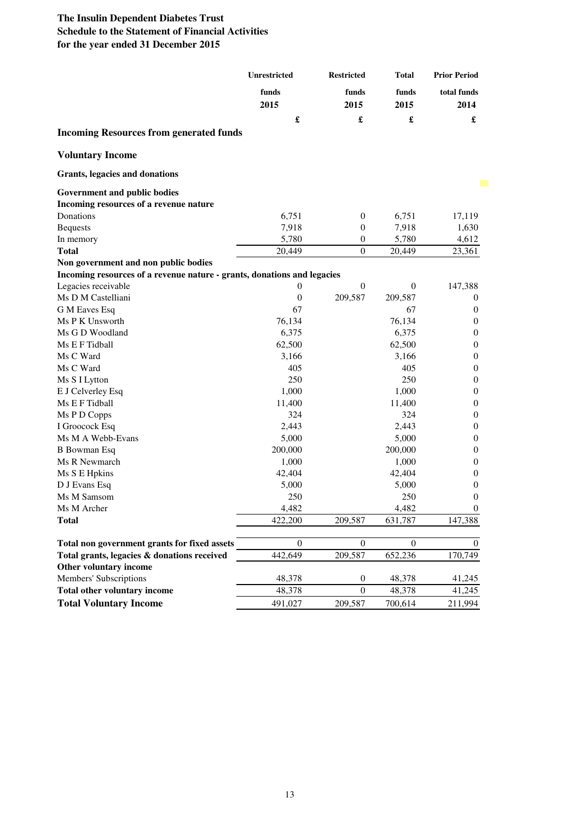|                                                                         | Unrestricted         | <b>Restricted</b> | <b>Total</b>  | <b>Prior Period</b> |
|-------------------------------------------------------------------------|----------------------|-------------------|---------------|---------------------|
|                                                                         | funds<br>2015        | funds<br>2015     | funds<br>2015 | total funds<br>2014 |
|                                                                         | $\pmb{\mathfrak{L}}$ | £                 | £             | £                   |
| <b>Incoming Resources from generated funds</b>                          |                      |                   |               |                     |
| <b>Voluntary Income</b>                                                 |                      |                   |               |                     |
| <b>Grants, legacies and donations</b>                                   |                      |                   |               |                     |
| Government and public bodies                                            |                      |                   |               |                     |
| Incoming resources of a revenue nature                                  |                      |                   |               |                     |
| Donations                                                               | 6,751                | $\boldsymbol{0}$  | 6,751         | 17,119              |
| <b>Bequests</b>                                                         | 7,918                | $\boldsymbol{0}$  | 7,918         | 1,630               |
| In memory                                                               | 5,780                | $\boldsymbol{0}$  | 5,780         | 4,612               |
| <b>Total</b>                                                            | 20,449               | $\boldsymbol{0}$  | 20,449        | 23,361              |
| Non government and non public bodies                                    |                      |                   |               |                     |
| Incoming resources of a revenue nature - grants, donations and legacies |                      |                   |               |                     |
| Legacies receivable                                                     | $\boldsymbol{0}$     | $\boldsymbol{0}$  | $\theta$      | 147,388             |
| Ms D M Castelliani                                                      | $\boldsymbol{0}$     | 209,587           | 209,587       | $\theta$            |
| G M Eaves Esq                                                           | 67                   |                   | 67            | $\mathbf{0}$        |
| Ms P K Unsworth                                                         | 76,134               |                   | 76,134        | $\mathbf{0}$        |
| Ms G D Woodland                                                         | 6,375                |                   | 6,375         | $\mathbf{0}$        |
| Ms E F Tidball                                                          | 62,500               |                   | 62,500        | $\boldsymbol{0}$    |
| Ms C Ward                                                               | 3,166                |                   | 3,166         | $\boldsymbol{0}$    |
| Ms C Ward                                                               | 405                  |                   | 405           | $\boldsymbol{0}$    |
| Ms S I Lytton                                                           | 250                  |                   | 250           | $\boldsymbol{0}$    |
| E J Celverley Esq                                                       | 1,000                |                   | 1,000         | $\boldsymbol{0}$    |
| Ms E F Tidball                                                          | 11,400               |                   | 11,400        | $\boldsymbol{0}$    |
| Ms P D Copps                                                            | 324                  |                   | 324           | $\boldsymbol{0}$    |
| I Groocock Esq                                                          | 2,443                |                   | 2,443         | $\boldsymbol{0}$    |
| Ms M A Webb-Evans                                                       | 5,000                |                   | 5,000         | $\boldsymbol{0}$    |
| <b>B</b> Bowman Esq                                                     |                      |                   |               | $\boldsymbol{0}$    |
| Ms R Newmarch                                                           | 200,000              |                   | 200,000       | $\boldsymbol{0}$    |
|                                                                         | 1,000                |                   | 1,000         | $\mathbf{0}$        |
| Ms S E Hpkins                                                           | 42,404               |                   | 42,404        |                     |
| D J Evans Esq                                                           | 5,000                |                   | 5,000         | $\mathbf{0}$        |
| Ms M Samsom                                                             | 250                  |                   | 250           | $\boldsymbol{0}$    |
| Ms M Archer                                                             | 4,482                |                   | 4,482         | $\boldsymbol{0}$    |
| <b>Total</b>                                                            | 422,200              | 209,587           | 631,787       | 147,388             |
| Total non government grants for fixed assets                            | $\mathbf{0}$         | $\mathbf{0}$      | $\mathbf{0}$  | $\overline{0}$      |
|                                                                         |                      |                   |               |                     |
| Total grants, legacies & donations received                             | 442,649              | 209,587           | 652,236       | 170,749             |
| Other voluntary income                                                  |                      |                   |               |                     |
| Members' Subscriptions                                                  | 48,378               | $\boldsymbol{0}$  | 48,378        | 41,245              |
| Total other voluntary income                                            | 48,378               | $\mathbf{0}$      | 48,378        | 41,245              |
| <b>Total Voluntary Income</b>                                           | 491,027              | 209,587           | 700,614       | 211,994             |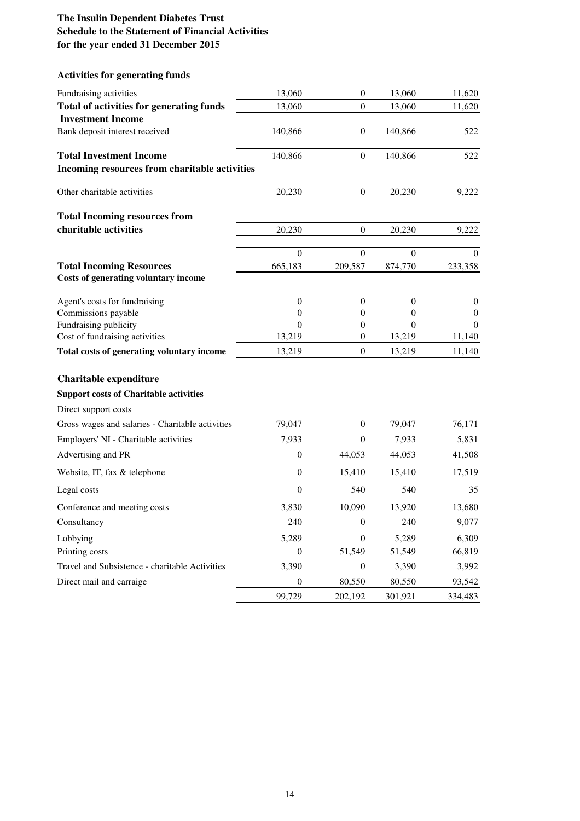# **Activities for generating funds**

| Fundraising activities                                  | 13,060             | $\boldsymbol{0}$         | 13,060           | 11,620           |
|---------------------------------------------------------|--------------------|--------------------------|------------------|------------------|
| Total of activities for generating funds                | 13,060             | $\boldsymbol{0}$         | 13,060           | 11,620           |
| <b>Investment Income</b>                                |                    |                          |                  |                  |
| Bank deposit interest received                          | 140,866            | $\boldsymbol{0}$         | 140,866          | 522              |
| <b>Total Investment Income</b>                          | 140,866            | $\boldsymbol{0}$         | 140,866          | 522              |
| Incoming resources from charitable activities           |                    |                          |                  |                  |
| Other charitable activities                             | 20,230             | $\boldsymbol{0}$         | 20,230           | 9,222            |
| <b>Total Incoming resources from</b>                    |                    |                          |                  |                  |
| charitable activities                                   | 20,230             | $\overline{0}$           | 20,230           | 9,222            |
|                                                         | $\theta$           | $\boldsymbol{0}$         | $\theta$         | $\theta$         |
| <b>Total Incoming Resources</b>                         | 665,183            | 209,587                  | 874,770          | 233,358          |
| Costs of generating voluntary income                    |                    |                          |                  |                  |
| Agent's costs for fundraising                           | $\boldsymbol{0}$   | $\mathbf{0}$             | $\boldsymbol{0}$ | $\boldsymbol{0}$ |
| Commissions payable                                     | $\overline{0}$     | $\mathbf{0}$             | 0                | $\theta$         |
| Fundraising publicity<br>Cost of fundraising activities | $\Omega$<br>13,219 | $\mathbf{0}$<br>$\theta$ | 0<br>13,219      | $\theta$         |
|                                                         |                    |                          |                  | 11,140           |
| Total costs of generating voluntary income              | 13,219             | $\mathbf{0}$             | 13,219           | 11,140           |
| Charitable expenditure                                  |                    |                          |                  |                  |
| <b>Support costs of Charitable activities</b>           |                    |                          |                  |                  |
| Direct support costs                                    |                    |                          |                  |                  |
| Gross wages and salaries - Charitable activities        | 79,047             | $\mathbf{0}$             | 79,047           | 76,171           |
| Employers' NI - Charitable activities                   | 7,933              | $\overline{0}$           | 7,933            | 5,831            |
| Advertising and PR                                      | $\overline{0}$     | 44,053                   | 44,053           | 41,508           |
| Website, IT, fax & telephone                            | $\overline{0}$     | 15,410                   | 15,410           | 17,519           |
| Legal costs                                             | $\overline{0}$     | 540                      | 540              | 35               |
| Conference and meeting costs                            | 3,830              | 10,090                   | 13,920           | 13,680           |
| Consultancy                                             | 240                | $\overline{0}$           | 240              | 9,077            |
| Lobbying                                                | 5,289              | $\overline{0}$           | 5,289            | 6,309            |
| Printing costs                                          | $\boldsymbol{0}$   | 51,549                   | 51,549           | 66,819           |
| Travel and Subsistence - charitable Activities          | 3,390              | $\bf{0}$                 | 3,390            | 3,992            |
| Direct mail and carraige                                | $\mathbf{0}$       | 80,550                   | 80,550           | 93,542           |
|                                                         | 99,729             | 202,192                  | 301,921          | 334,483          |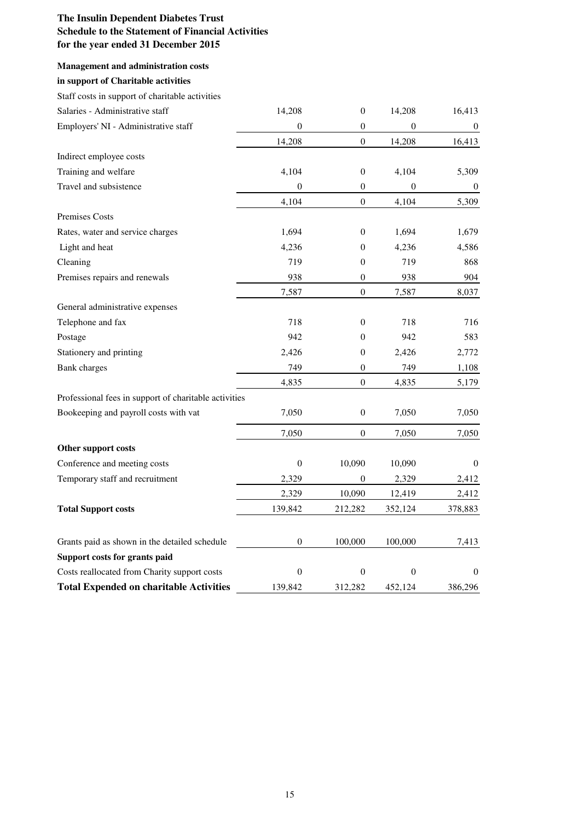## **Management and administration costs**

# **in support of Charitable activities**

## Staff costs in support of charitable activities

| Salaries - Administrative staff                       | 14,208           | $\boldsymbol{0}$ | 14,208           | 16,413           |
|-------------------------------------------------------|------------------|------------------|------------------|------------------|
| Employers' NI - Administrative staff                  | $\boldsymbol{0}$ | $\mathbf{0}$     | $\mathbf{0}$     | $\bf{0}$         |
|                                                       | 14,208           | $\boldsymbol{0}$ | 14,208           | 16,413           |
| Indirect employee costs                               |                  |                  |                  |                  |
| Training and welfare                                  | 4,104            | $\mathbf{0}$     | 4,104            | 5,309            |
| Travel and subsistence                                | $\boldsymbol{0}$ | $\boldsymbol{0}$ | $\boldsymbol{0}$ | $\boldsymbol{0}$ |
|                                                       | 4,104            | $\overline{0}$   | 4,104            | 5,309            |
| <b>Premises Costs</b>                                 |                  |                  |                  |                  |
| Rates, water and service charges                      | 1,694            | $\mathbf{0}$     | 1,694            | 1,679            |
| Light and heat                                        | 4,236            | $\boldsymbol{0}$ | 4,236            | 4,586            |
| Cleaning                                              | 719              | $\boldsymbol{0}$ | 719              | 868              |
| Premises repairs and renewals                         | 938              | $\mathbf{0}$     | 938              | 904              |
|                                                       | 7,587            | $\mathbf{0}$     | 7,587            | 8,037            |
| General administrative expenses                       |                  |                  |                  |                  |
| Telephone and fax                                     | 718              | $\theta$         | 718              | 716              |
| Postage                                               | 942              | $\boldsymbol{0}$ | 942              | 583              |
| Stationery and printing                               | 2,426            | $\boldsymbol{0}$ | 2,426            | 2,772            |
| <b>Bank</b> charges                                   | 749              | $\boldsymbol{0}$ | 749              | 1,108            |
|                                                       | 4,835            | $\boldsymbol{0}$ | 4,835            | 5,179            |
| Professional fees in support of charitable activities |                  |                  |                  |                  |
| Bookeeping and payroll costs with vat                 | 7,050            | $\mathbf{0}$     | 7,050            | 7,050            |
|                                                       | 7,050            | $\mathbf{0}$     | 7,050            | 7,050            |
| Other support costs                                   |                  |                  |                  |                  |
| Conference and meeting costs                          | $\boldsymbol{0}$ | 10,090           | 10,090           | $\mathbf{0}$     |
| Temporary staff and recruitment                       | 2,329            | $\theta$         | 2,329            | 2,412            |
|                                                       | 2,329            | 10,090           | 12,419           | 2,412            |
| <b>Total Support costs</b>                            | 139,842          | 212,282          | 352,124          | 378,883          |
|                                                       |                  |                  |                  |                  |
| Grants paid as shown in the detailed schedule         | $\mathbf{0}$     | 100,000          | 100,000          | 7,413            |
| Support costs for grants paid                         | $\boldsymbol{0}$ | $\theta$         | $\mathbf{0}$     | $\theta$         |
| Costs reallocated from Charity support costs          |                  |                  |                  |                  |
| <b>Total Expended on charitable Activities</b>        | 139,842          | 312,282          | 452,124          | 386,296          |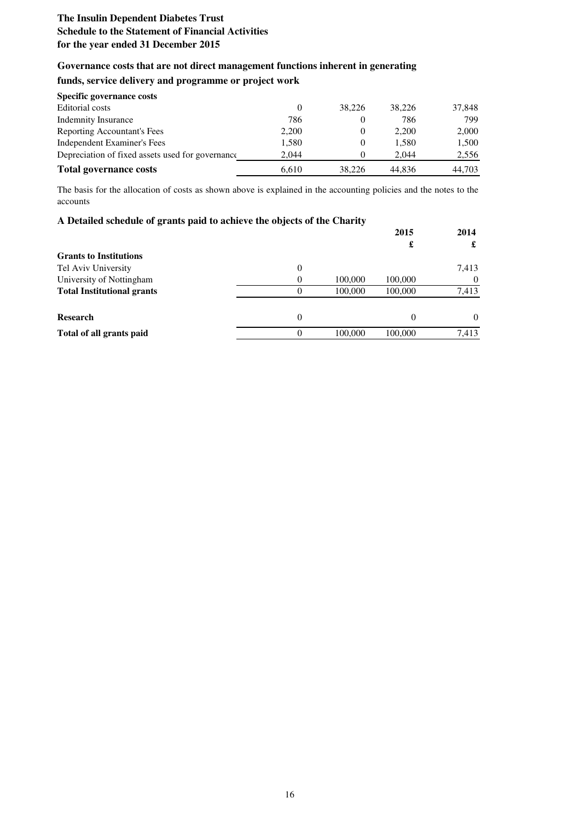## **Governance costs that are not direct management functions inherent in generating**

# **funds, service delivery and programme or project work**

| Specific governance costs                        |       |          |        |        |
|--------------------------------------------------|-------|----------|--------|--------|
| Editorial costs                                  |       | 38.226   | 38,226 | 37,848 |
| <b>Indemnity Insurance</b>                       | 786   |          | 786    | 799    |
| Reporting Accountant's Fees                      | 2,200 | $\theta$ | 2.200  | 2,000  |
| Independent Examiner's Fees                      | 1,580 | $\theta$ | 1.580  | 1,500  |
| Depreciation of fixed assets used for governance | 2.044 | $\theta$ | 2.044  | 2,556  |
| <b>Total governance costs</b>                    | 6.610 | 38.226   | 44.836 | 44.703 |

The basis for the allocation of costs as shown above is explained in the accounting policies and the notes to the accounts

| A Detailed schedule of grants paid to achieve the objects of the Charity |                |         |          |          |
|--------------------------------------------------------------------------|----------------|---------|----------|----------|
|                                                                          |                |         | 2015     | 2014     |
|                                                                          |                |         | £        | £        |
| <b>Grants to Institutions</b>                                            |                |         |          |          |
| Tel Aviv University                                                      | $\overline{0}$ |         |          | 7,413    |
| University of Nottingham                                                 | $\Omega$       | 100,000 | 100,000  | $\theta$ |
| <b>Total Institutional grants</b>                                        | $\theta$       | 100,000 | 100,000  | 7,413    |
| <b>Research</b>                                                          | $\Omega$       |         | $\Omega$ | $\Omega$ |
| Total of all grants paid                                                 | ∩              | 100,000 | 100,000  | 7,413    |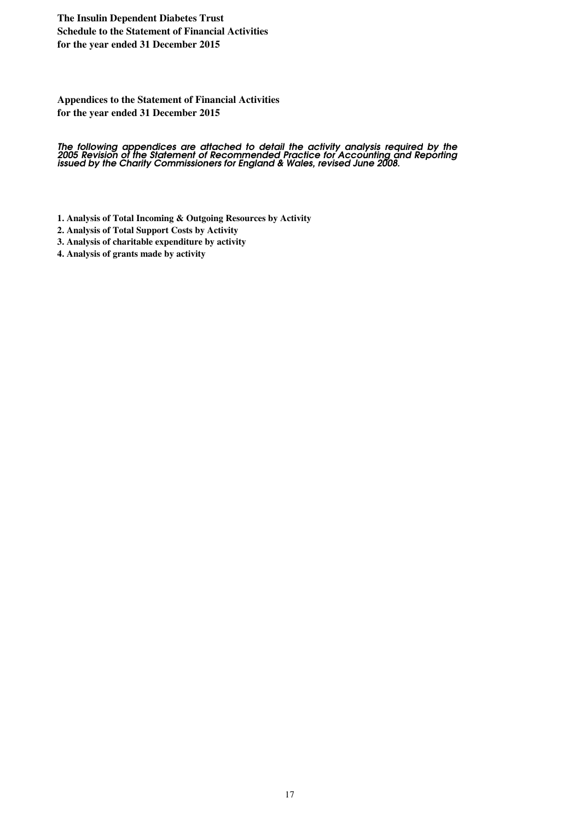## **Appendices to the Statement of Financial Activities for the year ended 31 December 2015**

**The following appendices are attached to detail the activity analysis required by the 2005 Revision of the Statement of Recommended Practice for Accounting and Reporting issued** The following appendices are attached to detail the activity analysis required by the<br>2005 Revision of the Statement of Recommended Practice for Accounting and Reporting<br>issued by the Charity Commissioners for England & Wa

- **1. Analysis of Total Incoming & Outgoing Resources by Activity**
- **2. Analysis of Total Support Costs by Activity**
- **3. Analysis of charitable expenditure by activity**
- **4. Analysis of grants made by activity**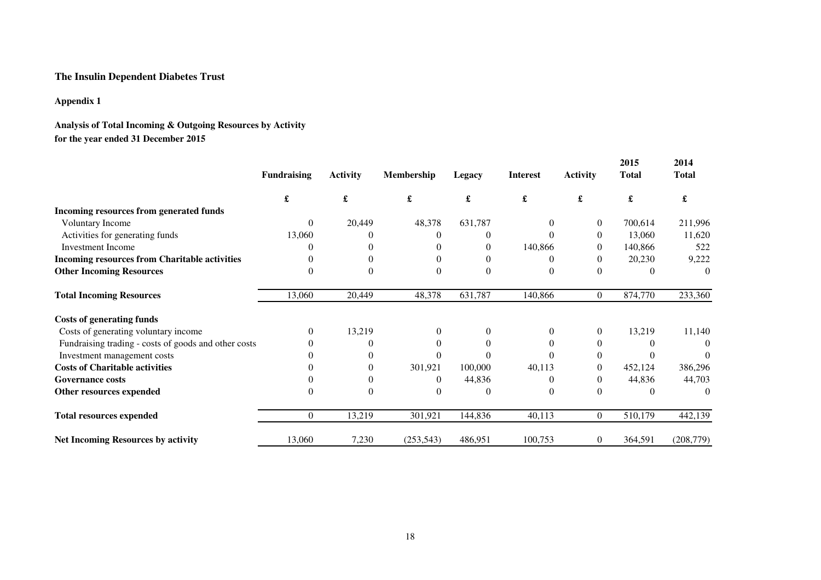# **The Insulin Dependent Diabetes Trust**

## **Appendix 1**

# **Analysis of Total Incoming & Outgoing Resources by Activityfor the year ended 31 December 2015**

|                                                      | <b>Fundraising</b> | <b>Activity</b> | <b>Membership</b> | Legacy       | <b>Interest</b> | <b>Activity</b> | 2015<br><b>Total</b> | 2014<br>Total |
|------------------------------------------------------|--------------------|-----------------|-------------------|--------------|-----------------|-----------------|----------------------|---------------|
|                                                      | £                  | £               | £                 | £            | £               | £               | £                    | £             |
| Incoming resources from generated funds              |                    |                 |                   |              |                 |                 |                      |               |
| <b>Voluntary Income</b>                              | $\Omega$           | 20,449          | 48,378            | 631,787      | $\overline{0}$  | $\theta$        | 700,614              | 211,996       |
| Activities for generating funds                      | 13,060             |                 | $\Omega$          | 0            | 0               | $\Omega$        | 13,060               | 11,620        |
| <b>Investment Income</b>                             | 0                  |                 |                   | $\mathbf{0}$ | 140,866         | $\Omega$        | 140,866              | 522           |
| <b>Incoming resources from Charitable activities</b> |                    |                 |                   | $\Omega$     |                 |                 | 20,230               | 9,222         |
| <b>Other Incoming Resources</b>                      | 0                  | 0               | $\Omega$          | $\theta$     | $\Omega$        | $\Omega$        |                      | $\Omega$      |
| <b>Total Incoming Resources</b>                      | 13,060             | 20,449          | 48,378            | 631,787      | 140,866         | $\overline{0}$  | 874,770              | 233,360       |
| <b>Costs of generating funds</b>                     |                    |                 |                   |              |                 |                 |                      |               |
| Costs of generating voluntary income                 | $\Omega$           | 13,219          | $\Omega$          | $\mathbf{0}$ | $\Omega$        | $\overline{0}$  | 13,219               | 11,140        |
| Fundraising trading - costs of goods and other costs |                    |                 |                   | $\Omega$     |                 |                 |                      | $\Omega$      |
| Investment management costs                          |                    |                 |                   | $\Omega$     |                 | $\Omega$        |                      |               |
| <b>Costs of Charitable activities</b>                |                    | 0               | 301,921           | 100,000      | 40,113          |                 | 452,124              | 386,296       |
| <b>Governance costs</b>                              |                    |                 | 0                 | 44,836       |                 |                 | 44,836               | 44,703        |
| Other resources expended                             | $\Omega$           |                 | $\Omega$          | $\Omega$     |                 | $\Omega$        |                      | $\Omega$      |
| <b>Total resources expended</b>                      | $\Omega$           | 13,219          | 301,921           | 144,836      | 40,113          | $\overline{0}$  | 510,179              | 442,139       |
| <b>Net Incoming Resources by activity</b>            | 13,060             | 7,230           | (253, 543)        | 486,951      | 100,753         | $\overline{0}$  | 364,591              | (208, 779)    |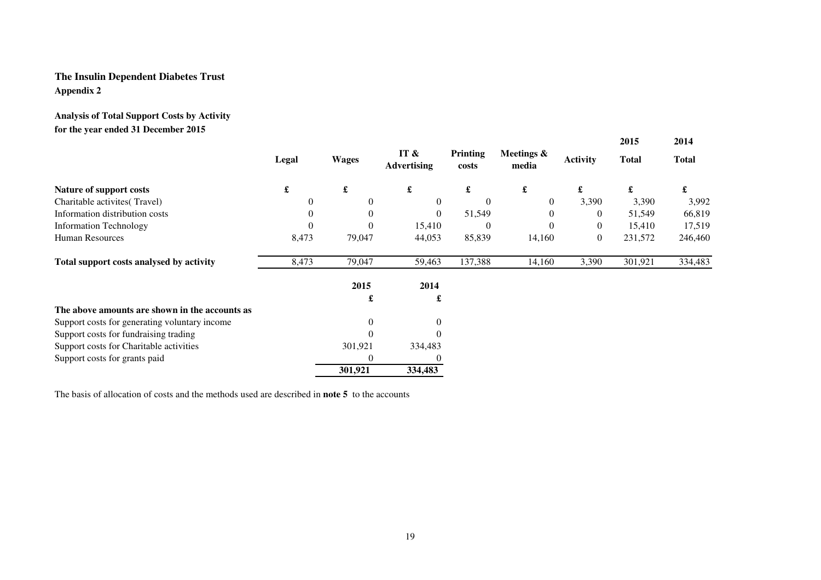# **The Insulin Dependent Diabetes TrustAppendix 2**

# **Analysis of Total Support Costs by Activityfor the year ended 31 December 2015**

|                                                |                      |              |                            |                   |                     |                 | 2015         | 2014         |
|------------------------------------------------|----------------------|--------------|----------------------------|-------------------|---------------------|-----------------|--------------|--------------|
|                                                | Legal                | <b>Wages</b> | IT &<br><b>Advertising</b> | Printing<br>costs | Meetings &<br>media | <b>Activity</b> | <b>Total</b> | <b>Total</b> |
| <b>Nature of support costs</b>                 | $\pmb{\mathfrak{L}}$ | £            | $\pmb{\mathfrak{L}}$       | £                 | £                   | £               | £            | £            |
| Charitable activites (Travel)                  | $\theta$             | 0            | $\Omega$                   | $\Omega$          | $\theta$            | 3,390           | 3,390        | 3,992        |
| Information distribution costs                 | $\theta$             | 0            | $\overline{0}$             | 51,549            | $\theta$            | $\theta$        | 51,549       | 66,819       |
| <b>Information Technology</b>                  | $\Omega$             | $\theta$     | 15,410                     | $\Omega$          | $\Omega$            | $\overline{0}$  | 15,410       | 17,519       |
| <b>Human Resources</b>                         | 8,473                | 79,047       | 44,053                     | 85,839            | 14,160              | $\overline{0}$  | 231,572      | 246,460      |
| Total support costs analysed by activity       | 8,473                | 79,047       | 59,463                     | 137,388           | 14,160              | 3,390           | 301,921      | 334,483      |
|                                                |                      | 2015         | 2014                       |                   |                     |                 |              |              |
|                                                |                      | £            | £                          |                   |                     |                 |              |              |
| The above amounts are shown in the accounts as |                      |              |                            |                   |                     |                 |              |              |
| Support costs for generating voluntary income  |                      | 0            | $\theta$                   |                   |                     |                 |              |              |
| Support costs for fundraising trading          |                      | $\theta$     | $\Omega$                   |                   |                     |                 |              |              |
| Support costs for Charitable activities        |                      | 301,921      | 334,483                    |                   |                     |                 |              |              |
| Support costs for grants paid                  |                      | 0            |                            |                   |                     |                 |              |              |
|                                                |                      | 301,921      | 334,483                    |                   |                     |                 |              |              |

The basis of allocation of costs and the methods used are described in **note 5** to the accounts